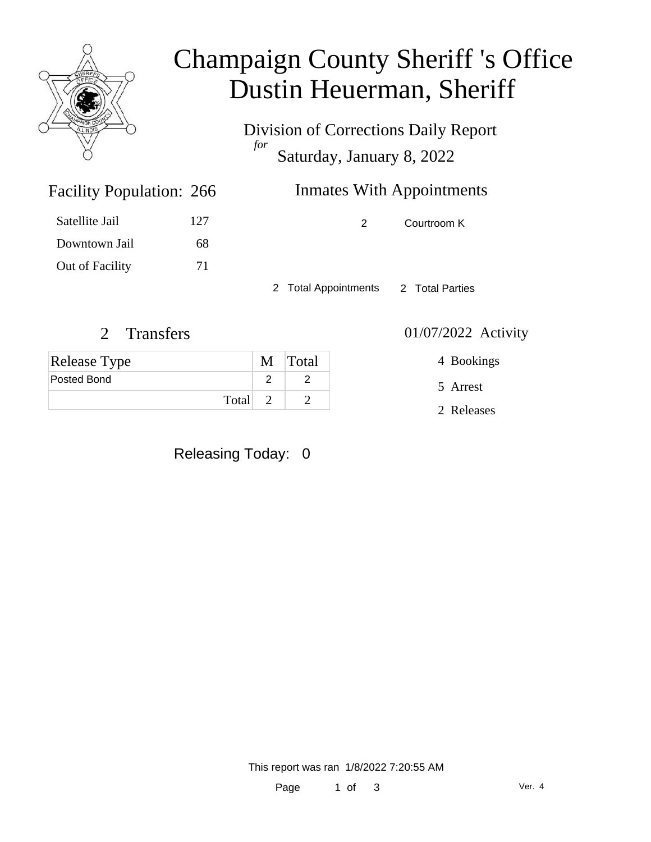

## Champaign County Sheriff 's Office Dustin Heuerman, Sheriff

Division of Corrections Daily Report *for* Saturday, January 8, 2022

| 266 | <b>Inmates With Appointments</b> |
|-----|----------------------------------|
|     |                                  |

| Satellite Jail  | 127 |
|-----------------|-----|
| Downtown Jail   | 68  |
| Out of Facility | 71  |

Facility Population: 266

2 Courtroom K

2 Total Appointments 2 Total Parties

#### 2 Transfers 01/07/2022 Activity

| <b>Release Type</b> | M Total |
|---------------------|---------|
| Posted Bond         |         |
| Total 2             |         |

Releasing Today: 0

4 Bookings

5 Arrest

2 Releases

This report was ran 1/8/2022 7:20:55 AM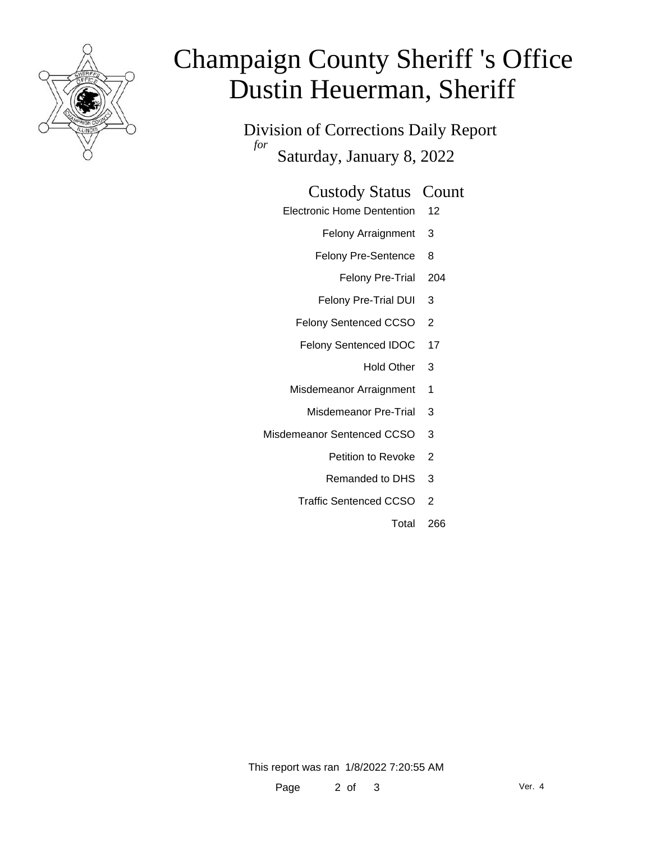

## Champaign County Sheriff 's Office Dustin Heuerman, Sheriff

Division of Corrections Daily Report *for* Saturday, January 8, 2022

#### Custody Status Count

- Electronic Home Dentention 12
	- Felony Arraignment 3
	- Felony Pre-Sentence 8
		- Felony Pre-Trial 204
	- Felony Pre-Trial DUI 3
	- Felony Sentenced CCSO 2
	- Felony Sentenced IDOC 17
		- Hold Other 3
	- Misdemeanor Arraignment 1
		- Misdemeanor Pre-Trial 3
- Misdemeanor Sentenced CCSO 3
	- Petition to Revoke 2
	- Remanded to DHS 3
	- Traffic Sentenced CCSO 2
		- Total 266

This report was ran 1/8/2022 7:20:55 AM